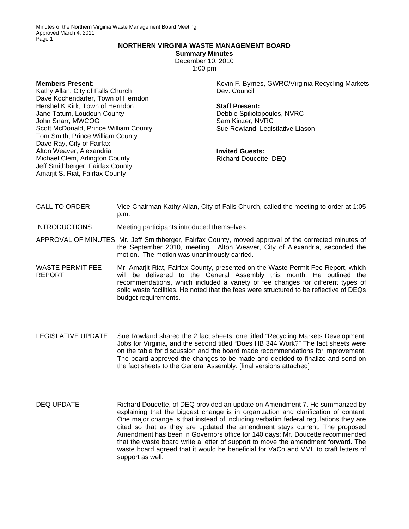Minutes of the Northern Virginia Waste Management Board Meeting Approved March 4, 2011 Page 1

### **NORTHERN VIRGINIA WASTE MANAGEMENT BOARD**

**Summary Minutes** 

December 10, 2010 1:00 pm

**Members Present:** 

Kathy Allan, City of Falls Church Dave Kochendarfer, Town of Herndon Hershel K Kirk, Town of Herndon Jane Tatum, Loudoun County John Snarr, MWCOG Scott McDonald, Prince William County Tom Smith, Prince William County Dave Ray, City of Fairfax Alton Weaver, Alexandria Michael Clem, Arlington County Jeff Smithberger, Fairfax County Amarjit S. Riat, Fairfax County

Kevin F. Byrnes, GWRC/Virginia Recycling Markets Dev. Council

### **Staff Present:**

Debbie Spiliotopoulos, NVRC Sam Kinzer, NVRC Sue Rowland, Legistlative Liason

**Invited Guests:**  Richard Doucette, DEQ

CALL TO ORDER Vice-Chairman Kathy Allan, City of Falls Church, called the meeting to order at 1:05 p.m.

INTRODUCTIONS Meeting participants introduced themselves.

APPROVAL OF MINUTES Mr. Jeff Smithberger, Fairfax County, moved approval of the corrected minutes of the September 2010, meeting. Alton Weaver, City of Alexandria, seconded the motion. The motion was unanimously carried.

WASTE PERMIT FEE REPORT Mr. Amarjit Riat, Fairfax County, presented on the Waste Permit Fee Report, which will be delivered to the General Assembly this month. He outlined the recommendations, which included a variety of fee changes for different types of solid waste facilities. He noted that the fees were structured to be reflective of DEQs budget requirements.

- LEGISLATIVE UPDATE Sue Rowland shared the 2 fact sheets, one titled "Recycling Markets Development: Jobs for Virginia, and the second titled "Does HB 344 Work?" The fact sheets were on the table for discussion and the board made recommendations for improvement. The board approved the changes to be made and decided to finalize and send on the fact sheets to the General Assembly. [final versions attached]
- DEQ UPDATE Richard Doucette, of DEQ provided an update on Amendment 7. He summarized by explaining that the biggest change is in organization and clarification of content. One major change is that instead of including verbatim federal regulations they are cited so that as they are updated the amendment stays current. The proposed Amendment has been in Governors office for 140 days; Mr. Doucette recommended that the waste board write a letter of support to move the amendment forward. The waste board agreed that it would be beneficial for VaCo and VML to craft letters of support as well.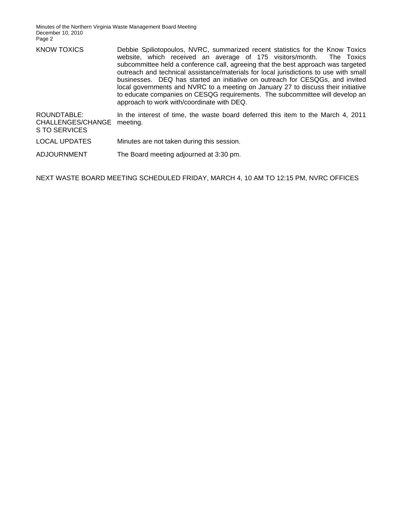Minutes of the Northern Virginia Waste Management Board Meeting December 10, 2010 Page 2

| <b>KNOW TOXICS</b>                                | Debbie Spiliotopoulos, NVRC, summarized recent statistics for the Know Toxics<br>website, which received an average of 175 visitors/month. The Toxics<br>subcommittee held a conference call, agreeing that the best approach was targeted<br>outreach and technical assistance/materials for local jurisdictions to use with small<br>businesses. DEQ has started an initiative on outreach for CESQGs, and invited<br>local governments and NVRC to a meeting on January 27 to discuss their initiative<br>to educate companies on CESQG requirements. The subcommittee will develop an<br>approach to work with/coordinate with DEQ. |
|---------------------------------------------------|-----------------------------------------------------------------------------------------------------------------------------------------------------------------------------------------------------------------------------------------------------------------------------------------------------------------------------------------------------------------------------------------------------------------------------------------------------------------------------------------------------------------------------------------------------------------------------------------------------------------------------------------|
| ROUNDTABLE:<br>CHALLENGES/CHANGE<br>S TO SERVICES | In the interest of time, the waste board deferred this item to the March 4, 2011<br>meeting.                                                                                                                                                                                                                                                                                                                                                                                                                                                                                                                                            |
| <b>LOCAL UPDATES</b>                              | Minutes are not taken during this session.                                                                                                                                                                                                                                                                                                                                                                                                                                                                                                                                                                                              |

ADJOURNMENT The Board meeting adjourned at 3:30 pm.

NEXT WASTE BOARD MEETING SCHEDULED FRIDAY, MARCH 4, 10 AM TO 12:15 PM, NVRC OFFICES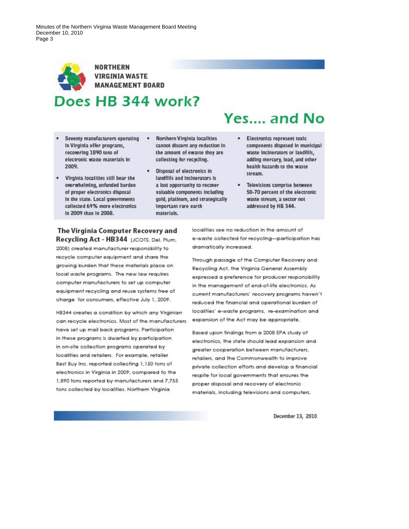Minutes of the Northern Virginia Waste Management Board Meeting December 10, 2010 Page 3



- Seventy manufacturers operating In Virginia offer programs, recovering 1890 tons of electronic waste materials in 2009.
- Virginia localities still bear the overwhelming, unfunded burden of proper electronics disposal In the state. Local governments collected 69% more electronics In 2009 than In 2008.
- Northern Virginia localities . cannot discern any reduction in the amount of ewaste they are collecting for recycling.
- **Disposal of electronics in** landfills and incinerators is a lost opportunity to recover valuable components including gold, platinum, and strategically Important rare earth materials.

# Yes..., and No

- Electronics represent toxic components disposed in municipal waste incinerators or landfills, adding mercury, lead, and other health hazards to the waste stream.
- Televisions comprise between 50-70 percent of the electronic waste stream, a sector not addressed by HB 344.

## The Virginia Computer Recovery and Recycling Act - HB344 (JCOTS, Del. Plum,

2008) created manufacturer responsibility to recycle computer equipment and share the growing burden that these materials place on local waste programs. The new law requires computer manufacturers to set up computer equipment recycling and reuse systems free of charge for consumers, effective July 1, 2009.

HB344 creates a condition by which any Virginian can recycle electronics. Most of the manufacturers have set up mail back programs. Participation in these programs is dwarfed by participation in on-site collection programs operated by localities and retailers. For example, retailer Best Buy Inc. reported collecting 1,150 tons of electronics in Virginia in 2009, compared to the 1,890 tons reported by manufacturers and 7,755 tons collected by localities. Northern Virginia

localities see no reduction in the amount of e-waste collected for recycling-participation has dramatically increased.

Through passage of the Computer Recovery and Recycling Act, the Virginia General Assembly expressed a preference for producer responsibility in the management of end-of-life electronics. As current manufacturers' recovery programs haven't reduced the financial and operational burden of localities' e-waste programs, re-examination and expansion of the Act may be appropriate.

Based upon findings from a 2008 EPA study of electronics, the state should lead expansion and greater cooperation between manufacturers, retailers, and the Commonwealth to improve private collection efforts and develop a financial respite for local governments that ensures the proper disposal and recovery of electronic materials, including televisions and computers.

December 13, 2010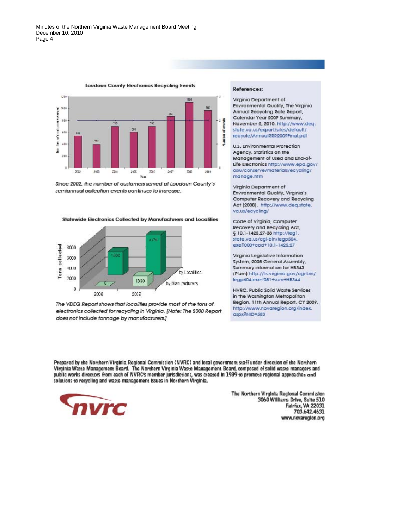

**Loudoun County Electronics Recycling Events** 

Since 2002, the number of customers served at Loudoun County's semiannual collection events continues to increase.

**Statewide Electronics Collected by Manufacturers and Localities** 



The VDEQ Report shows that localities provide most of the tons of electronics collected for recycling in Virginia. [Note: The 2008 Report does not include tonnage by manufacturers.]

#### **References**

Virginia Department of Environmental Quality, The Virginia Annual Recycling Rate Report, Calendar Year 2009 Summary, November 2, 2010, http://www.deg. state.va.us/export/sites/default/ recycle/AnnualRRR2009Final.pdf

U.S. Environmental Protection Agency, Statistics on the Management of Used and End-of-Life Electronics http://www.epa.gov/ osw/conserve/materials/ecycling/ manage.htm

Virginia Department of Environmental Quality, Virginia's Computer Recovery and Recycling Act (2008). http://www.deq.state. va.us/ecycling/

Code of Virginia, Computer Recovery and Recycling Act, § 10.1-1425.27-38 http://leg1. state.va.us/cgi-bin/legp504. exe?000+cod+10.1-1425.27

Virginia Legislative Information System, 2008 General Assembly, Summary information for HB343 (Plum) http://lis.virginia.gov/cgi-bin/ legp604.exe?081+sum+HB344

NVRC, Public Solid Waste Services in the Washington Metropolitan Region, 11th Annual Report, CY 2009. http://www.novaregion.org/index. aspx<sup>2</sup>NID=583

Prepared by the Northern Virginia Regional Commission (NVRC) and local government staff under direction of the Northern Virginia Waste Management Board. The Northern Virginia Waste Management Board, composed of solid waste managers and public works directors from each of NVRC's member jurisdictions, was created in 1989 to promote regional approaches ond solutions to recycling and waste management Issues in Northern Virginia.



The Northern Virginia Regional Commission 3060 Williams Drive, Suite 510 Fairfax, VA 22031 703.642.4631 www.novaregion.org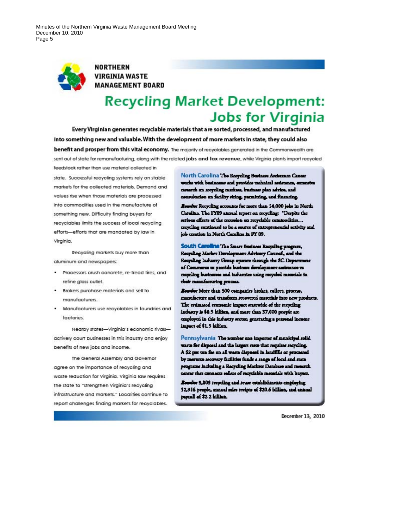Minutes of the Northern Virginia Waste Management Board Meeting December 10, 2010 Page 5



**NORTHERN** VIRGINIA WASTE **MANAGEMENT BOARD** 

## **Recycling Market Development: Jobs for Virginia**

Every Virginian generates recyclable materials that are sorted, processed, and manufactured into something new and valuable. With the development of more markets in state, they could also benefit and prosper from this vital economy. The majority of recyclobles generated in the Commonwealth are sent out of state for remanufacturing, along with the related jobs and tax revenue, while Virginia plants import recycled

feedstock rather than use material collected in

state. Successful recycling systems rely on stable markets for the collected materials. Demand and values rise when those materials are processed into commodities used in the manufacture of something new. Difficulty finding buyers for recyclables limits the success of local recycling efforts-efforts that are mandated by law in Virginia.

Recycling markets buy more than aluminum and newspapers:

- · Processors crush concrete, re-tread tires, and refine glass cullet.
- . Brokers purchase materials and sell to manufacturers.
- Manufacturers use recyclables in foundries and factories.

Nearby states-Virginia's economic rivalsactively court businesses in this industry and enjoy benefits of new jobs and income.

The General Assembly and Governor agree on the importance of recycling and waste reduction for Virginia. Virginia law requires the state to "strengthen Virginia's recycling infrastructure and markets." Localities continue to report challenges finding markets for recyclables. North Carolina The Recycling Business Ascissones Canser works with businesses and provides rachaical sedmance, expansive ternatch on negeling markets, business plan advice, and consultation on facility shing, permitting, and financing.

Reserve Recycling accounts for more than 14,000 jobs in North Catalina. The FY09 antrual tripett on troycling: "Despite the erious effects of the recession on recyclable commodities... tecycling continued to be a source of entreprenential activity and job creation in North Catolina in PY 09.

South Carolina The Smarr Bostness Recycling program, Recycling Market Development Advisery Council, and the Recycling Industry Greep operate through the SC Depertment of Commerce to provide business development assistance to meyeling businesses and industries using recycled materials in their manufacturing process.

Romder More than 300 companies broker, collect, process, mateducture and transferm recovered materials into new products. The estimated economic impact statewide of the recycling industry is \$6.5 billion, and more than 37,000 people are employed in this industry sector, generating a personal income impact of \$1.5 billion.

Pennsylvania The number can importer of manicipal solid warm for disposal and the largest more that requires recycling. A \$2 per ton far on all warm disposed in landfills or processed by resource moreory facilities funds a range of local and stars programe including a Racycling Marksee Darabase and research mer that connects sellers of recyclable metaclals with buyers.

Researcher 5,203 recycling and rease establishments employing 52,316 people, annual rales recipts of \$20.6 billion, and annual payroll of \$2.2 billion.

December 13, 2010